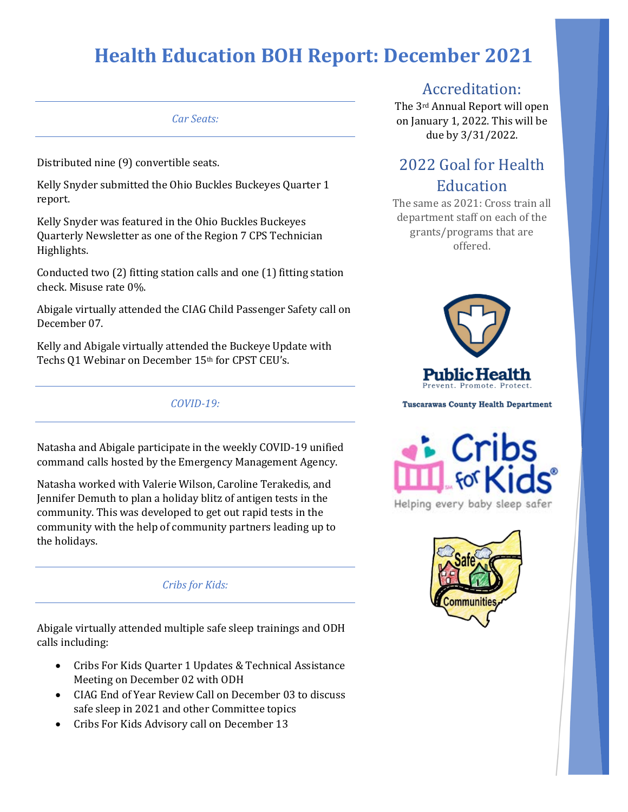#### *Car Seats:*

Distributed nine (9) convertible seats.

Kelly Snyder submitted the Ohio Buckles Buckeyes Quarter 1 report.

Kelly Snyder was featured in the Ohio Buckles Buckeyes Quarterly Newsletter as one of the Region 7 CPS Technician Highlights.

Conducted two (2) fitting station calls and one (1) fitting station check. Misuse rate 0%.

Abigale virtually attended the CIAG Child Passenger Safety call on December 07.

Kelly and Abigale virtually attended the Buckeye Update with Techs Q1 Webinar on December 15th for CPST CEU's.

*COVID-19:*

Natasha and Abigale participate in the weekly COVID-19 unified command calls hosted by the Emergency Management Agency.

Natasha worked with Valerie Wilson, Caroline Terakedis, and Jennifer Demuth to plan a holiday blitz of antigen tests in the community. This was developed to get out rapid tests in the community with the help of community partners leading up to the holidays.

*Cribs for Kids:*

Abigale virtually attended multiple safe sleep trainings and ODH calls including:

- Cribs For Kids Quarter 1 Updates & Technical Assistance Meeting on December 02 with ODH
- CIAG End of Year Review Call on December 03 to discuss safe sleep in 2021 and other Committee topics
- Cribs For Kids Advisory call on December 13

#### Accreditation:

The 3rd Annual Report will open on January 1, 2022. This will be due by 3/31/2022.

### 2022 Goal for Health Education

The same as 2021: Cross train all department staff on each of the grants/programs that are offered.



**Tuscarawas County Health Department** 



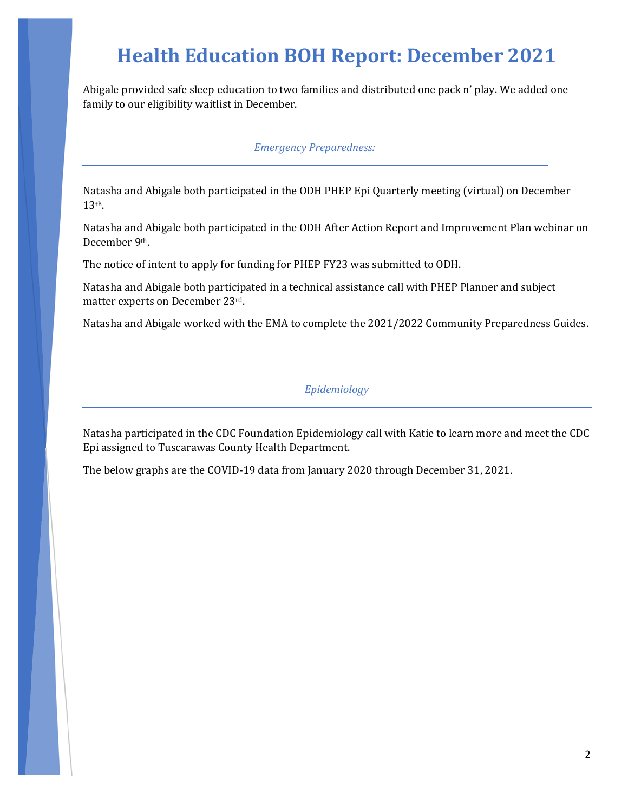Abigale provided safe sleep education to two families and distributed one pack n' play. We added one family to our eligibility waitlist in December.

#### *Emergency Preparedness:*

Natasha and Abigale both participated in the ODH PHEP Epi Quarterly meeting (virtual) on December 13th.

Natasha and Abigale both participated in the ODH After Action Report and Improvement Plan webinar on December 9th.

The notice of intent to apply for funding for PHEP FY23 was submitted to ODH.

Natasha and Abigale both participated in a technical assistance call with PHEP Planner and subject matter experts on December 23rd.

Natasha and Abigale worked with the EMA to complete the 2021/2022 Community Preparedness Guides.

#### *Epidemiology*

Natasha participated in the CDC Foundation Epidemiology call with Katie to learn more and meet the CDC Epi assigned to Tuscarawas County Health Department.

The below graphs are the COVID-19 data from January 2020 through December 31, 2021.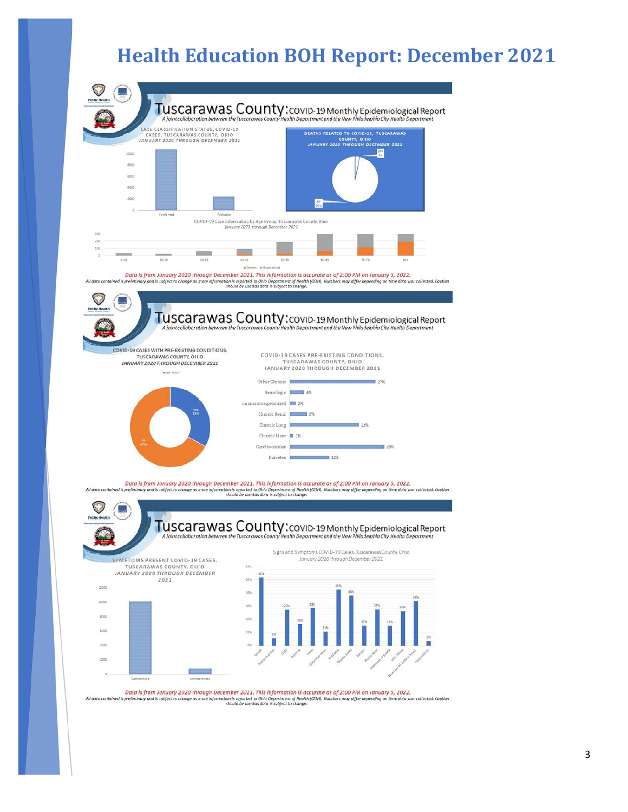

Data is from January 2020 through December 2021. This information is accurate as of 2:00 PM on January 5, 2022.<br>All data contained is pellminary and is subject to change as more information is reported to Ohio Department o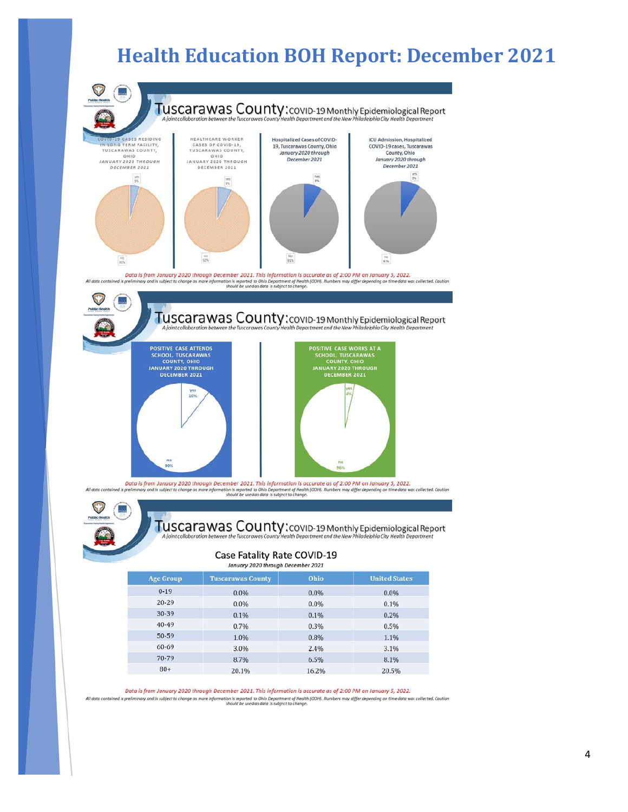

Data is from January 2020 through December 2021. This information is accurate as of 2:00 PM on January 5, 2022. All data contained is preliminary and is subject to change as more information is reported to Ohio Department of Health (ODH). Numbers may differ depending on time data was collected. Coution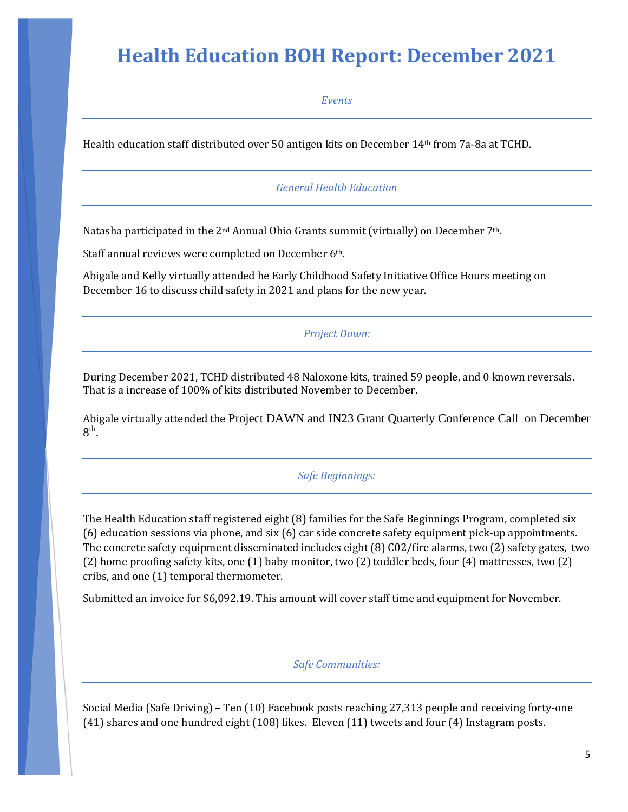*Events*

Health education staff distributed over 50 antigen kits on December 14th from 7a-8a at TCHD.

#### *General Health Education*

Natasha participated in the 2<sup>nd</sup> Annual Ohio Grants summit (virtually) on December 7<sup>th</sup>.

Staff annual reviews were completed on December 6<sup>th</sup>.

Abigale and Kelly virtually attended he Early Childhood Safety Initiative Office Hours meeting on December 16 to discuss child safety in 2021 and plans for the new year.

#### *Project Dawn:*

During December 2021, TCHD distributed 48 Naloxone kits, trained 59 people, and 0 known reversals. That is a increase of 100% of kits distributed November to December.

Abigale virtually attended the Project DAWN and IN23 Grant Quarterly Conference Call on December  $8<sup>th</sup>$ .

#### *Safe Beginnings:*

The Health Education staff registered eight (8) families for the Safe Beginnings Program, completed six (6) education sessions via phone, and six (6) car side concrete safety equipment pick-up appointments. The concrete safety equipment disseminated includes eight (8) C02/fire alarms, two (2) safety gates, two (2) home proofing safety kits, one (1) baby monitor, two (2) toddler beds, four (4) mattresses, two (2) cribs, and one (1) temporal thermometer.

Submitted an invoice for \$6,092.19. This amount will cover staff time and equipment for November.

*Safe Communities:* 

Social Media (Safe Driving) – Ten (10) Facebook posts reaching 27,313 people and receiving forty-one (41) shares and one hundred eight (108) likes. Eleven (11) tweets and four (4) Instagram posts.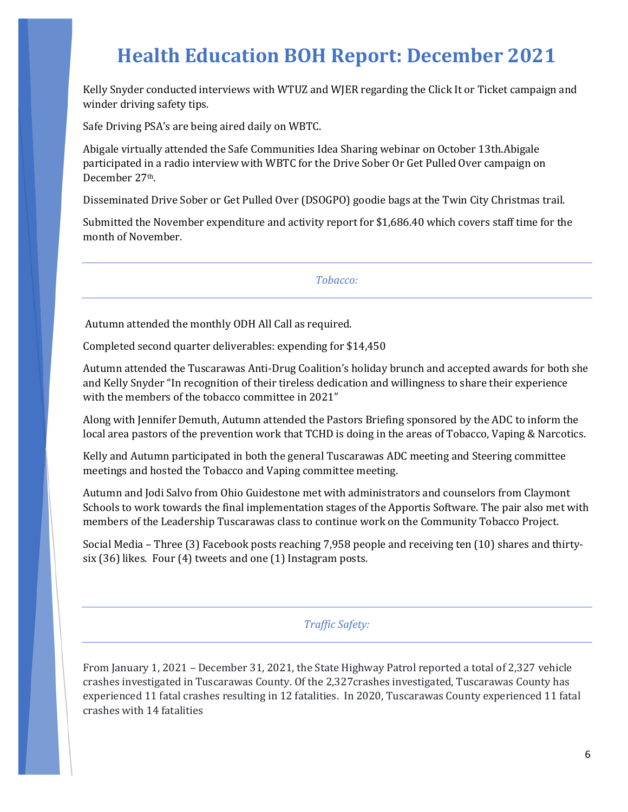Kelly Snyder conducted interviews with WTUZ and WJER regarding the Click It or Ticket campaign and winder driving safety tips.

Safe Driving PSA's are being aired daily on WBTC.

Abigale virtually attended the Safe Communities Idea Sharing webinar on October 13th.Abigale participated in a radio interview with WBTC for the Drive Sober Or Get Pulled Over campaign on December 27th.

Disseminated Drive Sober or Get Pulled Over (DSOGPO) goodie bags at the Twin City Christmas trail.

Submitted the November expenditure and activity report for \$1,686.40 which covers staff time for the month of November.

*Tobacco:*

Autumn attended the monthly ODH All Call as required.

Completed second quarter deliverables: expending for \$14,450

Autumn attended the Tuscarawas Anti-Drug Coalition's holiday brunch and accepted awards for both she and Kelly Snyder "In recognition of their tireless dedication and willingness to share their experience with the members of the tobacco committee in 2021"

Along with Jennifer Demuth, Autumn attended the Pastors Briefing sponsored by the ADC to inform the local area pastors of the prevention work that TCHD is doing in the areas of Tobacco, Vaping & Narcotics.

Kelly and Autumn participated in both the general Tuscarawas ADC meeting and Steering committee meetings and hosted the Tobacco and Vaping committee meeting.

Autumn and Jodi Salvo from Ohio Guidestone met with administrators and counselors from Claymont Schools to work towards the final implementation stages of the Apportis Software. The pair also met with members of the Leadership Tuscarawas class to continue work on the Community Tobacco Project.

Social Media – Three (3) Facebook posts reaching 7,958 people and receiving ten (10) shares and thirtysix (36) likes. Four (4) tweets and one (1) Instagram posts.

*Traffic Safety:*

From January 1, 2021 – December 31, 2021, the State Highway Patrol reported a total of 2,327 vehicle crashes investigated in Tuscarawas County. Of the 2,327crashes investigated, Tuscarawas County has experienced 11 fatal crashes resulting in 12 fatalities. In 2020, Tuscarawas County experienced 11 fatal crashes with 14 fatalities